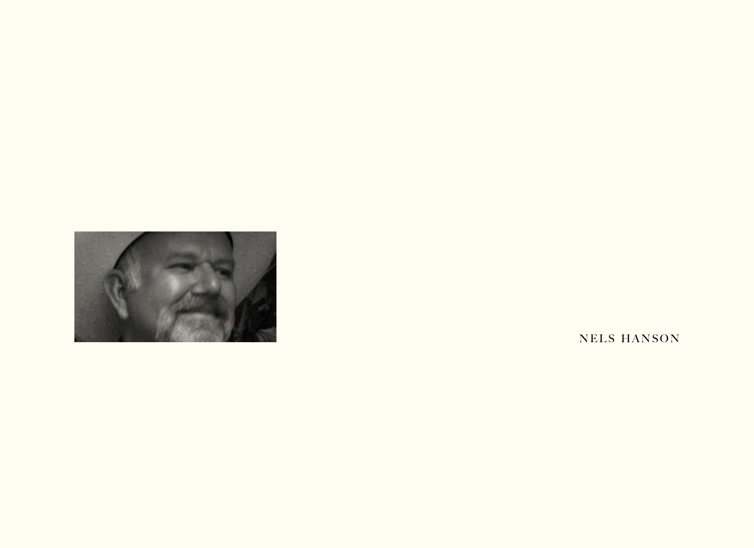

NELS HANSON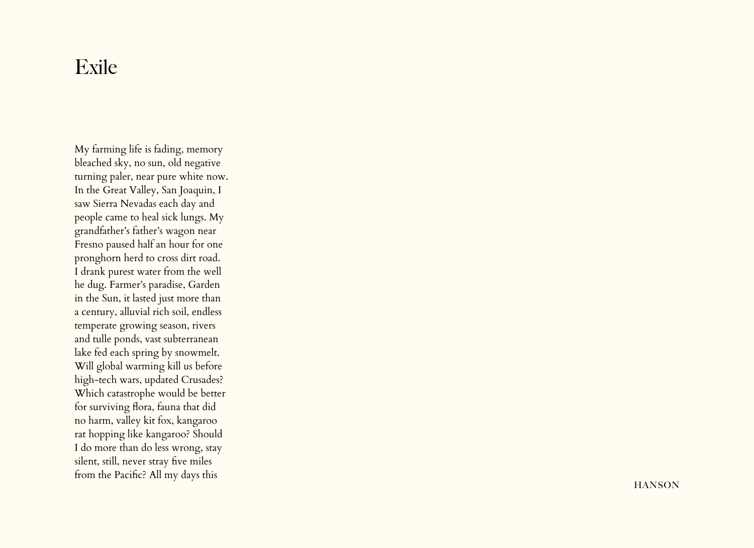## Exile

My farming life is fading, memory bleached sky, no sun, old negative turning paler, near pure white now. In the Great Valley, San Joaquin, I saw Sierra Nevadas each day and people came to heal sick lungs. My grandfather's father's wagon near Fresno paused half an hour for one pronghorn herd to cross dirt road. I drank purest water from the well he dug. Farmer's paradise, Garden in the Sun, it lasted just more than a century, alluvial rich soil, endless temperate growing season, rivers and tulle ponds, vast subterranean lake fed each spring by snowmelt. Will global warming kill us before high-tech wars, updated Crusades? Which catastrophe would be better for surviving flora, fauna that did no harm, valley kit fox, kangaroo rat hopping like kangaroo? Should I do more than do less wrong, stay silent, still, never stray five miles from the Pacific? All my days this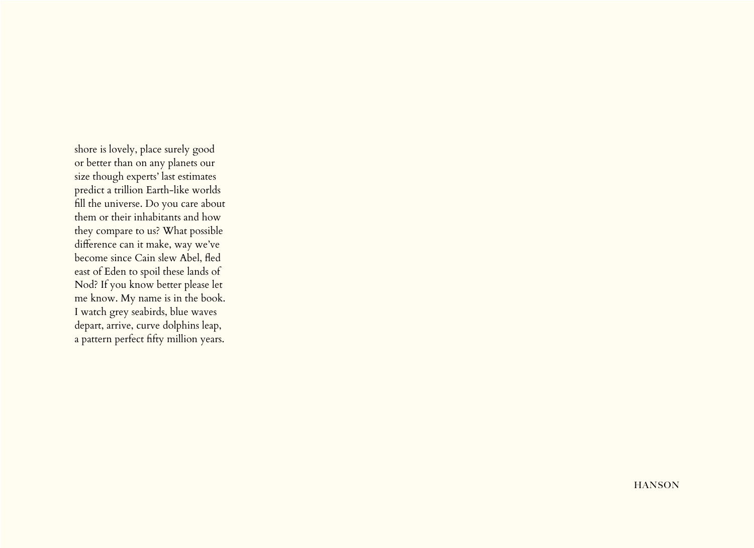shore is lovely, place surely good or better than on any planets our size though experts' last estimates predict a trillion Earth-like worlds fill the universe. Do you care about them or their inhabitants and how they compare to us? What possible difference can it make, way we've become since Cain slew Abel, fled east of Eden to spoil these lands of Nod? If you know better please let me know. My name is in the book. I watch grey seabirds, blue waves depart, arrive, curve dolphins leap, a pattern perfect fifty million years.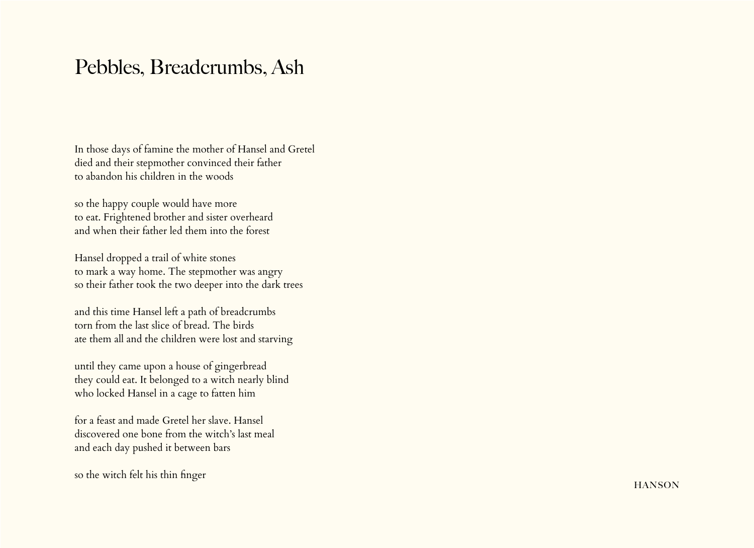## Pebbles, Breadcrumbs, Ash

In those days of famine the mother of Hansel and Gretel died and their stepmother convinced their father to abandon his children in the woods

so the happy couple would have more to eat. Frightened brother and sister overheard and when their father led them into the forest

Hansel dropped a trail of white stones to mark a way home. The stepmother was angry so their father took the two deeper into the dark trees

and this time Hansel left a path of breadcrumbs torn from the last slice of bread. The birds ate them all and the children were lost and starving

until they came upon a house of gingerbread they could eat. It belonged to a witch nearly blind who locked Hansel in a cage to fatten him

for a feast and made Gretel her slave. Hansel discovered one bone from the witch's last meal and each day pushed it between bars

so the witch felt his thin finger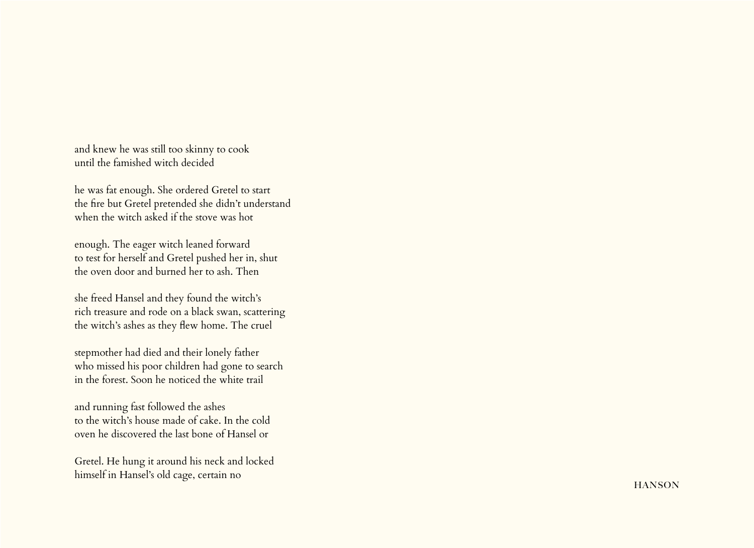and knew he was still too skinny to cook until the famished witch decided

he was fat enough. She ordered Gretel to start the fire but Gretel pretended she didn't understand when the witch asked if the stove was hot

enough. The eager witch leaned forward to test for herself and Gretel pushed her in, shut the oven door and burned her to ash. Then

she freed Hansel and they found the witch's rich treasure and rode on a black swan, scattering the witch's ashes as they flew home. The cruel

stepmother had died and their lonely father who missed his poor children had gone to search in the forest. Soon he noticed the white trail

and running fast followed the ashes to the witch's house made of cake. In the cold oven he discovered the last bone of Hansel or

Gretel. He hung it around his neck and locked himself in Hansel's old cage, certain no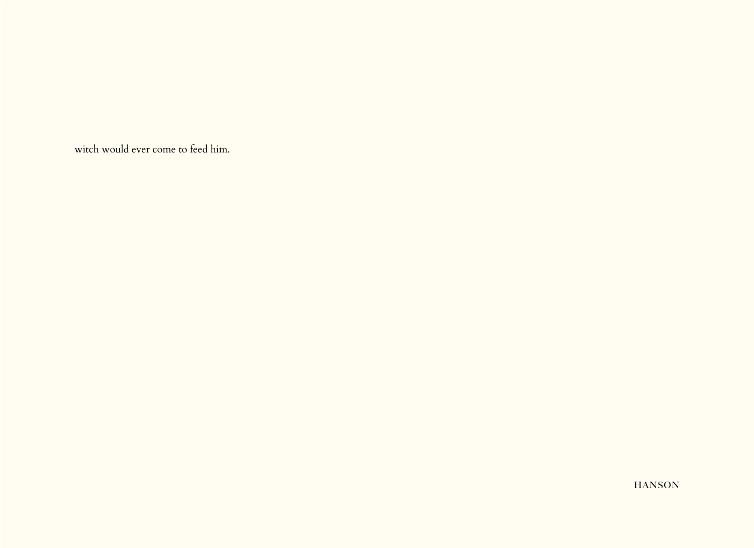witch would ever come to feed him.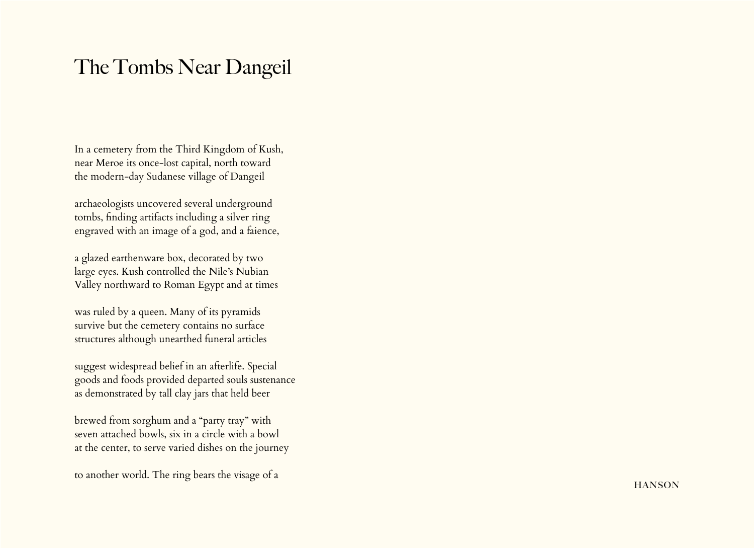## The Tombs Near Dangeil

In a cemetery from the Third Kingdom of Kush, near Meroe its once-lost capital, north toward the modern-day Sudanese village of Dangeil

archaeologists uncovered several underground tombs, finding artifacts including a silver ring engraved with an image of a god, and a faience,

a glazed earthenware box, decorated by two large eyes. Kush controlled the Nile's Nubian Valley northward to Roman Egypt and at times

was ruled by a queen. Many of its pyramids survive but the cemetery contains no surface structures although unearthed funeral articles

suggest widespread belief in an afterlife. Special goods and foods provided departed souls sustenance as demonstrated by tall clay jars that held beer

brewed from sorghum and a "party tray" with seven attached bowls, six in a circle with a bowl at the center, to serve varied dishes on the journey

to another world. The ring bears the visage of a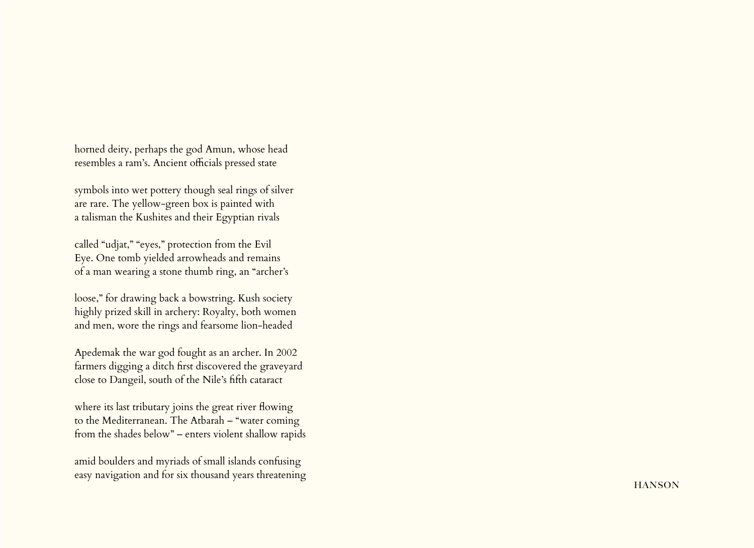horned deity, perhaps the god Amun, whose head resembles a ram's. Ancient officials pressed state

symbols into wet pottery though seal rings of silver are rare. The yellow-green box is painted with a talisman the Kushites and their Egyptian rivals

called "udjat," "eyes," protection from the Evil Eye. One tomb yielded arrowheads and remains of a man wearing a stone thumb ring, an "archer's

loose," for drawing back a bowstring. Kush society highly prized skill in archery: Royalty, both women and men, wore the rings and fearsome lion-headed

Apedemak the war god fought as an archer. In 2002 farmers digging a ditch first discovered the graveyard close to Dangeil, south of the Nile's fifth cataract

where its last tributary joins the great river flowing to the Mediterranean. The Atbarah – "water coming from the shades below" – enters violent shallow rapids

amid boulders and myriads of small islands confusing easy navigation and for six thousand years threatening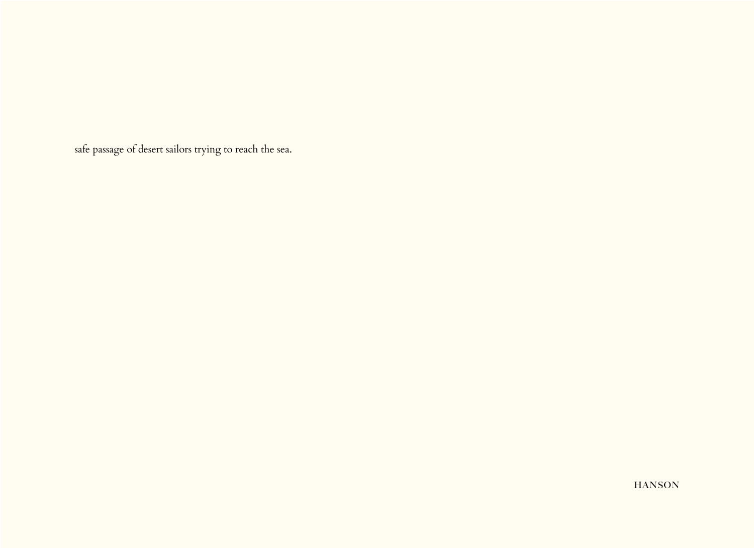safe passage of desert sailors trying to reach the sea.

**HANSON**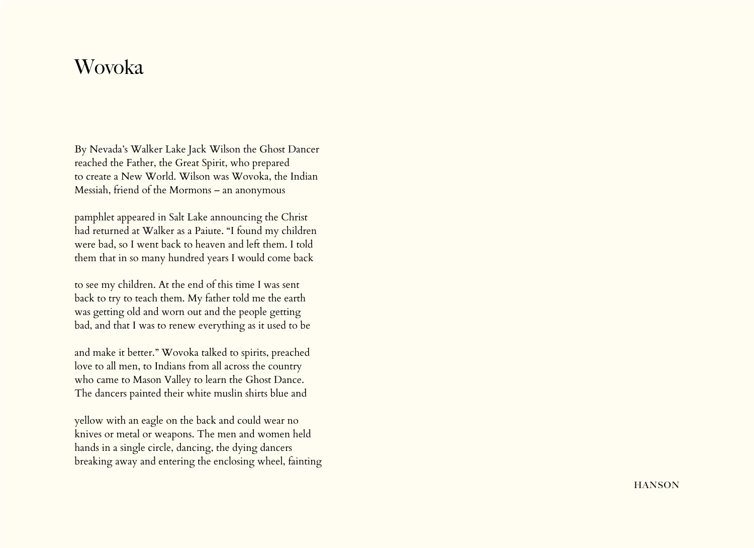## Wovoka

By Nevada's Walker Lake Jack Wilson the Ghost Dancer reached the Father, the Great Spirit, who prepared to create a New World. Wilson was Wovoka, the Indian Messiah, friend of the Mormons – an anonymous

pamphlet appeared in Salt Lake announcing the Christ had returned at Walker as a Paiute. "I found my children were bad, so I went back to heaven and left them. I told them that in so many hundred years I would come back

to see my children. At the end of this time I was sent back to try to teach them. My father told me the earth was getting old and worn out and the people getting bad, and that I was to renew everything as it used to be

and make it better." Wovoka talked to spirits, preached love to all men, to Indians from all across the country who came to Mason Valley to learn the Ghost Dance. The dancers painted their white muslin shirts blue and

yellow with an eagle on the back and could wear no knives or metal or weapons. The men and women held hands in a single circle, dancing, the dying dancers breaking away and entering the enclosing wheel, fainting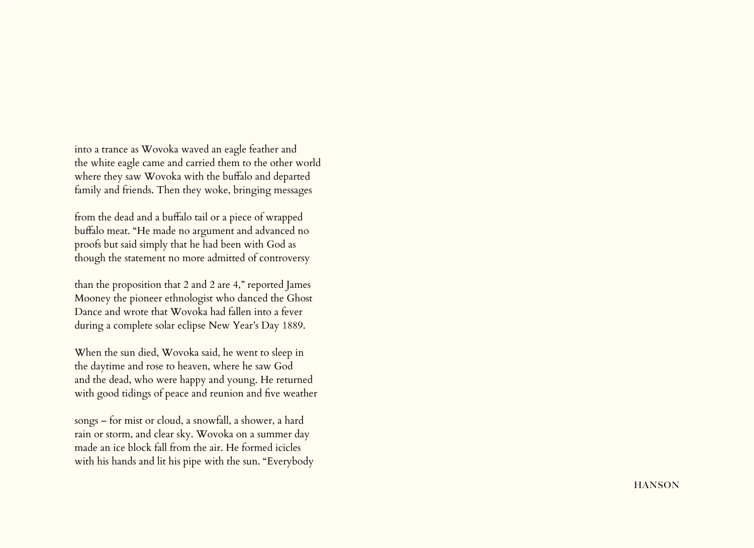into a trance as Wovoka waved an eagle feather and the white eagle came and carried them to the other world where they saw Wovoka with the buffalo and departed family and friends. Then they woke, bringing messages

from the dead and a buffalo tail or a piece of wrapped buffalo meat. "He made no argument and advanced no proofs but said simply that he had been with God as though the statement no more admitted of controversy

than the proposition that 2 and 2 are 4," reported James Mooney the pioneer ethnologist who danced the Ghost Dance and wrote that Wovoka had fallen into a fever during a complete solar eclipse New Year's Day 1889.

When the sun died, Wovoka said, he went to sleep in the daytime and rose to heaven, where he saw God and the dead, who were happy and young. He returned with good tidings of peace and reunion and five weather

songs – for mist or cloud, a snowfall, a shower, a hard rain or storm, and clear sky. Wovoka on a summer day made an ice block fall from the air. He formed icicles with his hands and lit his pipe with the sun. "Everybody